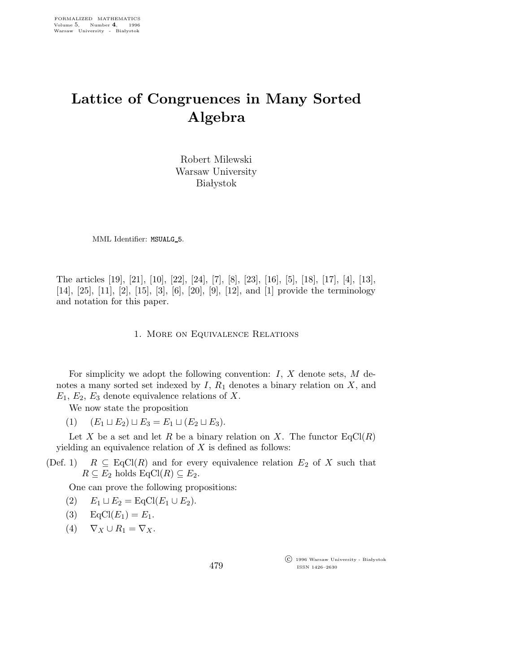## Lattice of Congruences in Many Sorted Algebra

Robert Milewski Warsaw University **Białystok** 

MML Identifier: MSUALG\_5.

The articles [19], [21], [10], [22], [24], [7], [8], [23], [16], [5], [18], [17], [4], [13], [14], [25], [11], [2], [15], [3], [6], [20], [9], [12], and [1] provide the terminology and notation for this paper.

1. More on Equivalence Relations

For simplicity we adopt the following convention:  $I, X$  denote sets,  $M$  denotes a many sorted set indexed by  $I, R_1$  denotes a binary relation on  $X$ , and  $E_1, E_2, E_3$  denote equivalence relations of X.

We now state the proposition

(1)  $(E_1 \sqcup E_2) \sqcup E_3 = E_1 \sqcup (E_2 \sqcup E_3).$ 

Let X be a set and let R be a binary relation on X. The functor  $EqCl(R)$ yielding an equivalence relation of  $X$  is defined as follows:

(Def. 1)  $R \subseteq \text{EqCl}(R)$  and for every equivalence relation  $E_2$  of X such that  $R \subseteq E_2$  holds  $\text{EqCl}(R) \subseteq E_2$ .

One can prove the following propositions:

- (2)  $E_1 \sqcup E_2 = \text{EqCl}(E_1 \cup E_2).$
- (3)  $EqCl(E_1) = E_1$ .
- (4)  $\nabla_X \cup R_1 = \nabla_X$ .

 c 1996 Warsaw University - Bia lystok ISSN 1426–2630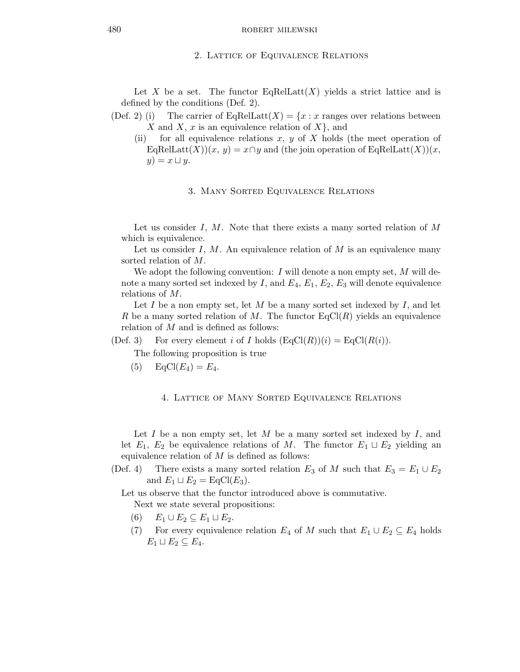## 2. Lattice of Equivalence Relations

Let X be a set. The functor EqRelLatt $(X)$  yields a strict lattice and is defined by the conditions (Def. 2).

(Def. 2) (i) The carrier of EqReLU
$$
(X) = \{x : x \text{ ranges over relations between } X \text{ and } X, x \text{ is an equivalence relation of } X\}
$$
, and

(ii) for all equivalence relations x, y of X holds (the meet operation of EqRelLatt $(X)(x, y) = x \cap y$  and (the join operation of EqRelLatt $(X)(x, y)$  $y) = x \sqcup y.$ 

## 3. Many Sorted Equivalence Relations

Let us consider  $I, M$ . Note that there exists a many sorted relation of  $M$ which is equivalence.

Let us consider I,  $M$ . An equivalence relation of  $M$  is an equivalence many sorted relation of M.

We adopt the following convention: I will denote a non empty set,  $M$  will denote a many sorted set indexed by I, and  $E_4$ ,  $E_1$ ,  $E_2$ ,  $E_3$  will denote equivalence relations of M.

Let I be a non empty set, let M be a many sorted set indexed by I, and let R be a many sorted relation of M. The functor  $\text{EqCl}(R)$  yields an equivalence relation of M and is defined as follows:

(Def. 3) For every element i of I holds  $(\text{EqCl}(R))(i) = \text{EqCl}(R(i)).$ 

The following proposition is true

(5)  $EqCl(E_4) = E_4$ .

4. Lattice of Many Sorted Equivalence Relations

Let I be a non empty set, let  $M$  be a many sorted set indexed by  $I$ , and let  $E_1$ ,  $E_2$  be equivalence relations of M. The functor  $E_1 \sqcup E_2$  yielding an equivalence relation of  $M$  is defined as follows:

(Def. 4) There exists a many sorted relation  $E_3$  of M such that  $E_3 = E_1 \cup E_2$ and  $E_1 \sqcup E_2 = \text{EqCl}(E_3)$ .

Let us observe that the functor introduced above is commutative. Next we state several propositions:

- (6)  $E_1 \cup E_2 \subseteq E_1 \sqcup E_2$ .
- (7) For every equivalence relation  $E_4$  of M such that  $E_1 \cup E_2 \subseteq E_4$  holds  $E_1 \sqcup E_2 \subseteq E_4.$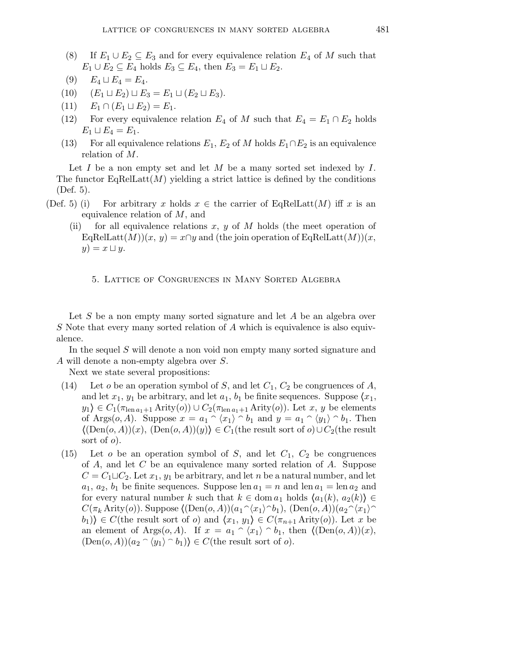- (8) If  $E_1 \cup E_2 \subseteq E_3$  and for every equivalence relation  $E_4$  of M such that  $E_1 \cup E_2 \subseteq E_4$  holds  $E_3 \subseteq E_4$ , then  $E_3 = E_1 \sqcup E_2$ .
- (9)  $E_4 \sqcup E_4 = E_4.$
- (10)  $(E_1 \sqcup E_2) \sqcup E_3 = E_1 \sqcup (E_2 \sqcup E_3).$
- (11)  $E_1 \cap (E_1 \sqcup E_2) = E_1.$
- (12) For every equivalence relation  $E_4$  of M such that  $E_4 = E_1 \cap E_2$  holds  $E_1 \sqcup E_4 = E_1.$
- (13) For all equivalence relations  $E_1, E_2$  of M holds  $E_1 \cap E_2$  is an equivalence relation of M.

Let  $I$  be a non empty set and let  $M$  be a many sorted set indexed by  $I$ . The functor  $EqRelLatt(M)$  yielding a strict lattice is defined by the conditions (Def. 5).

- (Def. 5) (i) For arbitrary x holds  $x \in$  the carrier of EqRelLatt $(M)$  iff x is an equivalence relation of M, and
	- (ii) for all equivalence relations x, y of M holds (the meet operation of EqRelLatt $(M)(x, y) = x \cap y$  and (the join operation of EqRelLatt $(M)(x, y)$  $y) = x \sqcup y.$

5. Lattice of Congruences in Many Sorted Algebra

Let  $S$  be a non empty many sorted signature and let  $A$  be an algebra over S Note that every many sorted relation of A which is equivalence is also equivalence.

In the sequel S will denote a non void non empty many sorted signature and A will denote a non-empty algebra over S.

Next we state several propositions:

- (14) Let *o* be an operation symbol of *S*, and let  $C_1$ ,  $C_2$  be congruences of *A*, and let  $x_1, y_1$  be arbitrary, and let  $a_1, b_1$  be finite sequences. Suppose  $\langle x_1, x_2 \rangle$  $y_1 \in C_1(\pi_{\text{len }a_1+1} \text{Arity}(o)) \cup C_2(\pi_{\text{len }a_1+1} \text{Arity}(o)).$  Let  $x, y$  be elements of Args $(o, A)$ . Suppose  $x = a_1 \cap \langle x_1 \rangle \cap b_1$  and  $y = a_1 \cap \langle y_1 \rangle \cap b_1$ . Then  $\langle (Den(o, A))(x), (Den(o, A))(y) \rangle \in C_1$ (the result sort of  $o) \cup C_2$ (the result sort of  $o$ ).
- (15) Let *o* be an operation symbol of *S*, and let  $C_1$ ,  $C_2$  be congruences of A, and let C be an equivalence many sorted relation of A. Suppose  $C = C_1 \sqcup C_2$ . Let  $x_1, y_1$  be arbitrary, and let n be a natural number, and let  $a_1, a_2, b_1$  be finite sequences. Suppose len  $a_1 = n$  and len  $a_1 = \text{len } a_2$  and for every natural number k such that  $k \in \text{dom } a_1$  holds  $\langle a_1(k), a_2(k) \rangle \in$  $C(\pi_k \text{Arity}(o))$ . Suppose  $\langle (\text{Den}(o, A))(a_1 \hat{~} \langle x_1 \rangle \hat{~} b_1), (\text{Den}(o, A))(a_2 \hat{~} \langle x_1 \rangle \hat{~}$  $(b_1)\}\in C$ (the result sort of *o*) and  $\langle x_1, y_1\rangle \in C(\pi_{n+1} \text{Arity}(o))$ . Let x be an element of Args $(o, A)$ . If  $x = a_1 \cap \langle x_1 \rangle \cap b_1$ , then  $\langle (Den(o, A))(x),$  $(\text{Den}(o, A))(a_2 \cap \langle y_1 \rangle \cap b_1) \in C$ (the result sort of *o*).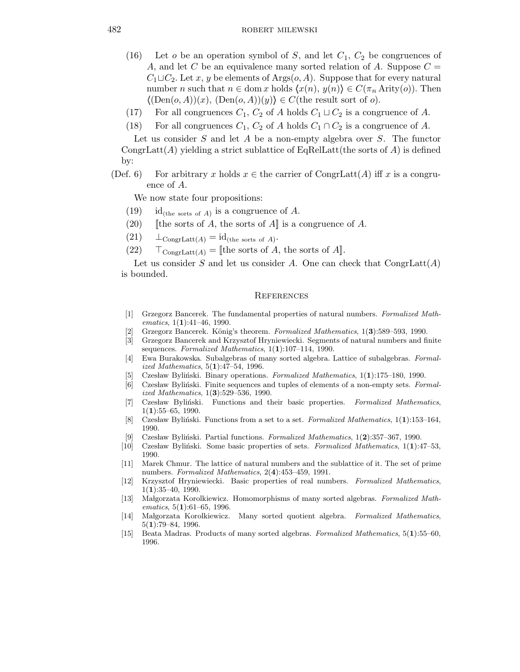- (16) Let o be an operation symbol of S, and let  $C_1$ ,  $C_2$  be congruences of A, and let C be an equivalence many sorted relation of A. Suppose  $C =$  $C_1 \sqcup C_2$ . Let x, y be elements of Args $(o, A)$ . Suppose that for every natural number n such that  $n \in \text{dom } x$  holds  $\langle x(n), y(n) \rangle \in C(\pi_n \text{Arity}(o))$ . Then  $\langle (Den(o, A))(x), (Den(o, A))(y) \rangle \in C$ (the result sort of o).
- (17) For all congruences  $C_1$ ,  $C_2$  of A holds  $C_1 \sqcup C_2$  is a congruence of A.
- (18) For all congruences  $C_1$ ,  $C_2$  of A holds  $C_1 \cap C_2$  is a congruence of A.

Let us consider  $S$  and let  $A$  be a non-empty algebra over  $S$ . The functor CongrLatt(A) yielding a strict sublattice of EqRelLatt(the sorts of A) is defined by:

(Def. 6) For arbitrary x holds  $x \in$  the carrier of CongrLatt(A) iff x is a congruence of A.

We now state four propositions:

- $(19)$  id<sub>(the sorts of A)</sub> is a congruence of A.
- (20) [the sorts of A, the sorts of A] is a congruence of A.
- $(21)$   $\perp_{\text{CongrLatt}(A)} = \text{id}_{(\text{the sorts of }A)}$ .
- (22)  $\top_{\text{CongrLatt}(A)} = [\text{the sorts of } A, \text{ the sorts of } A].$

Let us consider S and let us consider A. One can check that  $\text{CongrLatt}(A)$ is bounded.

## **REFERENCES**

- [1] Grzegorz Bancerek. The fundamental properties of natural numbers. Formalized Mathematics,  $1(1):41-46$ , 1990.
- Grzegorz Bancerek. König's theorem. Formalized Mathematics, 1(3):589–593, 1990.
- [3] Grzegorz Bancerek and Krzysztof Hryniewiecki. Segments of natural numbers and finite sequences. Formalized Mathematics, 1(1):107-114, 1990.
- [4] Ewa Burakowska. Subalgebras of many sorted algebra. Lattice of subalgebras. Formalized Mathematics, 5(1):47–54, 1996.
- Czesław Byliński. Binary operations. Formalized Mathematics,  $1(1):175-180$ , 1990.
- [6] Czesław Byliński. Finite sequences and tuples of elements of a non-empty sets. Formalized Mathematics, 1(3):529–536, 1990.
- [7] Czesław Byliński. Functions and their basic properties. Formalized Mathematics,  $1(1):55-65, 1990.$
- [8] Czesław Byliński. Functions from a set to a set. Formalized Mathematics,  $1(1):153-164$ , 1990.
- [9] Czesław Byliński. Partial functions. Formalized Mathematics,  $1(2):357-367$ , 1990.
- [10] Czesław Byliński. Some basic properties of sets. Formalized Mathematics,  $1(1):47-53$ , 1990.
- [11] Marek Chmur. The lattice of natural numbers and the sublattice of it. The set of prime numbers. Formalized Mathematics, 2(4):453–459, 1991.
- [12] Krzysztof Hryniewiecki. Basic properties of real numbers. Formalized Mathematics,  $1(1):35-40, 1990.$
- [13] Małgorzata Korolkiewicz. Homomorphisms of many sorted algebras. Formalized Mathematics, 5(1):61-65, 1996.
- [14] Malgorzata Korolkiewicz. Many sorted quotient algebra. Formalized Mathematics, 5(1):79–84, 1996.
- [15] Beata Madras. Products of many sorted algebras. Formalized Mathematics, 5(1):55–60, 1996.